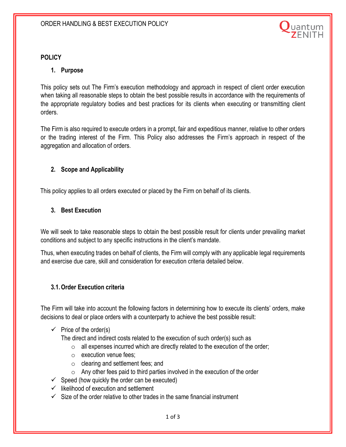

#### **POLICY**

#### **1. Purpose**

This policy sets out The Firm's execution methodology and approach in respect of client order execution when taking all reasonable steps to obtain the best possible results in accordance with the requirements of the appropriate regulatory bodies and best practices for its clients when executing or transmitting client orders.

The Firm is also required to execute orders in a prompt, fair and expeditious manner, relative to other orders or the trading interest of the Firm. This Policy also addresses the Firm's approach in respect of the aggregation and allocation of orders.

#### **2. Scope and Applicability**

This policy applies to all orders executed or placed by the Firm on behalf of its clients.

#### **3. Best Execution**

We will seek to take reasonable steps to obtain the best possible result for clients under prevailing market conditions and subject to any specific instructions in the client's mandate.

Thus, when executing trades on behalf of clients, the Firm will comply with any applicable legal requirements and exercise due care, skill and consideration for execution criteria detailed below.

#### **3.1.Order Execution criteria**

The Firm will take into account the following factors in determining how to execute its clients' orders, make decisions to deal or place orders with a counterparty to achieve the best possible result:

 $\checkmark$  Price of the order(s)

The direct and indirect costs related to the execution of such order(s) such as

- $\circ$  all expenses incurred which are directly related to the execution of the order;
- o execution venue fees;
- o clearing and settlement fees; and
- $\circ$  Any other fees paid to third parties involved in the execution of the order
- $\checkmark$  Speed (how quickly the order can be executed)
- $\checkmark$  likelihood of execution and settlement
- $\checkmark$  Size of the order relative to other trades in the same financial instrument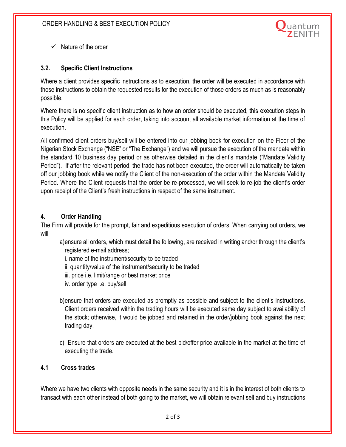

 $\checkmark$  Nature of the order

# **3.2. Specific Client Instructions**

Where a client provides specific instructions as to execution, the order will be executed in accordance with those instructions to obtain the requested results for the execution of those orders as much as is reasonably possible.

Where there is no specific client instruction as to how an order should be executed, this execution steps in this Policy will be applied for each order, taking into account all available market information at the time of execution.

All confirmed client orders buy/sell will be entered into our jobbing book for execution on the Floor of the Nigerian Stock Exchange ("NSE" or "The Exchange") and we will pursue the execution of the mandate within the standard 10 business day period or as otherwise detailed in the client's mandate ("Mandate Validity Period"). If after the relevant period, the trade has not been executed, the order will automatically be taken off our jobbing book while we notify the Client of the non-execution of the order within the Mandate Validity Period. Where the Client requests that the order be re-processed, we will seek to re-job the client's order upon receipt of the Client's fresh instructions in respect of the same instrument.

## **4. Order Handling**

The Firm will provide for the prompt, fair and expeditious execution of orders. When carrying out orders, we will

- a)ensure all orders, which must detail the following, are received in writing and/or through the client's registered e-mail address;
	- i. name of the instrument/security to be traded
	- ii. quantity/value of the instrument/security to be traded
	- iii. price i.e. limit/range or best market price
	- iv. order type i.e. buy/sell
- b)ensure that orders are executed as promptly as possible and subject to the client's instructions. Client orders received within the trading hours will be executed same day subject to availability of the stock; otherwise, it would be jobbed and retained in the order/jobbing book against the next trading day.
- c) Ensure that orders are executed at the best bid/offer price available in the market at the time of executing the trade.

## **4.1 Cross trades**

Where we have two clients with opposite needs in the same security and it is in the interest of both clients to transact with each other instead of both going to the market, we will obtain relevant sell and buy instructions